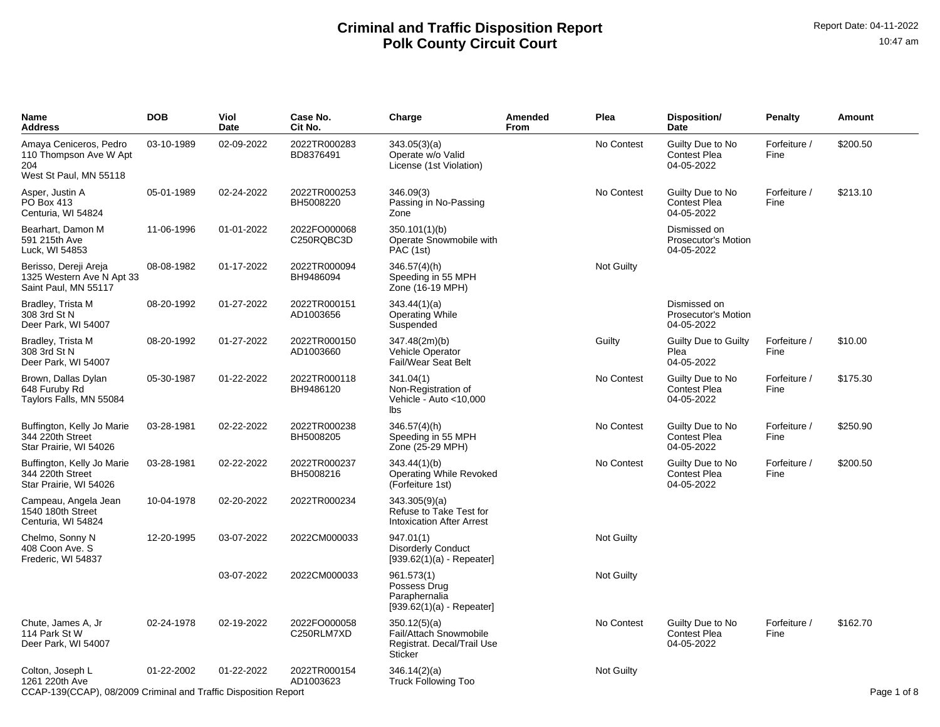| Name<br>Address                                                                                       | <b>DOB</b> | Viol<br>Date | Case No.<br>Cit No.        | Charge                                                                                 | Amended<br>From | Plea              | Disposition/<br>Date                                     | <b>Penalty</b>       | Amount      |
|-------------------------------------------------------------------------------------------------------|------------|--------------|----------------------------|----------------------------------------------------------------------------------------|-----------------|-------------------|----------------------------------------------------------|----------------------|-------------|
| Amaya Ceniceros, Pedro<br>110 Thompson Ave W Apt<br>204<br>West St Paul, MN 55118                     | 03-10-1989 | 02-09-2022   | 2022TR000283<br>BD8376491  | 343.05(3)(a)<br>Operate w/o Valid<br>License (1st Violation)                           |                 | No Contest        | Guilty Due to No<br><b>Contest Plea</b><br>04-05-2022    | Forfeiture /<br>Fine | \$200.50    |
| Asper, Justin A<br>PO Box 413<br>Centuria, WI 54824                                                   | 05-01-1989 | 02-24-2022   | 2022TR000253<br>BH5008220  | 346.09(3)<br>Passing in No-Passing<br>Zone                                             |                 | No Contest        | Guilty Due to No<br><b>Contest Plea</b><br>04-05-2022    | Forfeiture /<br>Fine | \$213.10    |
| Bearhart, Damon M<br>591 215th Ave<br>Luck, WI 54853                                                  | 11-06-1996 | 01-01-2022   | 2022FO000068<br>C250RQBC3D | 350.101(1)(b)<br>Operate Snowmobile with<br>PAC (1st)                                  |                 |                   | Dismissed on<br><b>Prosecutor's Motion</b><br>04-05-2022 |                      |             |
| Berisso, Dereji Areja<br>1325 Western Ave N Apt 33<br>Saint Paul, MN 55117                            | 08-08-1982 | 01-17-2022   | 2022TR000094<br>BH9486094  | 346.57(4)(h)<br>Speeding in 55 MPH<br>Zone (16-19 MPH)                                 |                 | Not Guilty        |                                                          |                      |             |
| Bradley, Trista M<br>308 3rd St N<br>Deer Park, WI 54007                                              | 08-20-1992 | 01-27-2022   | 2022TR000151<br>AD1003656  | 343.44(1)(a)<br><b>Operating While</b><br>Suspended                                    |                 |                   | Dismissed on<br>Prosecutor's Motion<br>04-05-2022        |                      |             |
| Bradley, Trista M<br>308 3rd St N<br>Deer Park, WI 54007                                              | 08-20-1992 | 01-27-2022   | 2022TR000150<br>AD1003660  | 347.48(2m)(b)<br><b>Vehicle Operator</b><br>Fail/Wear Seat Belt                        |                 | Guilty            | Guilty Due to Guilty<br>Plea<br>04-05-2022               | Forfeiture /<br>Fine | \$10.00     |
| Brown, Dallas Dylan<br>648 Furuby Rd<br>Taylors Falls, MN 55084                                       | 05-30-1987 | 01-22-2022   | 2022TR000118<br>BH9486120  | 341.04(1)<br>Non-Registration of<br>Vehicle - Auto < 10,000<br>lbs.                    |                 | No Contest        | Guilty Due to No<br><b>Contest Plea</b><br>04-05-2022    | Forfeiture /<br>Fine | \$175.30    |
| Buffington, Kelly Jo Marie<br>344 220th Street<br>Star Prairie, WI 54026                              | 03-28-1981 | 02-22-2022   | 2022TR000238<br>BH5008205  | 346.57(4)(h)<br>Speeding in 55 MPH<br>Zone (25-29 MPH)                                 |                 | No Contest        | Guilty Due to No<br><b>Contest Plea</b><br>04-05-2022    | Forfeiture /<br>Fine | \$250.90    |
| Buffington, Kelly Jo Marie<br>344 220th Street<br>Star Prairie, WI 54026                              | 03-28-1981 | 02-22-2022   | 2022TR000237<br>BH5008216  | 343.44(1)(b)<br>Operating While Revoked<br>(Forfeiture 1st)                            |                 | No Contest        | Guilty Due to No<br><b>Contest Plea</b><br>04-05-2022    | Forfeiture /<br>Fine | \$200.50    |
| Campeau, Angela Jean<br>1540 180th Street<br>Centuria, WI 54824                                       | 10-04-1978 | 02-20-2022   | 2022TR000234               | 343.305(9)(a)<br>Refuse to Take Test for<br><b>Intoxication After Arrest</b>           |                 |                   |                                                          |                      |             |
| Chelmo, Sonny N<br>408 Coon Ave. S<br>Frederic, WI 54837                                              | 12-20-1995 | 03-07-2022   | 2022CM000033               | 947.01(1)<br><b>Disorderly Conduct</b><br>$[939.62(1)(a) - Repeated]$                  |                 | <b>Not Guilty</b> |                                                          |                      |             |
|                                                                                                       |            | 03-07-2022   | 2022CM000033               | 961.573(1)<br>Possess Drug<br>Paraphernalia<br>$[939.62(1)(a) - Repeated]$             |                 | Not Guilty        |                                                          |                      |             |
| Chute, James A, Jr<br>114 Park St W<br>Deer Park, WI 54007                                            | 02-24-1978 | 02-19-2022   | 2022FO000058<br>C250RLM7XD | 350.12(5)(a)<br>Fail/Attach Snowmobile<br>Registrat. Decal/Trail Use<br><b>Sticker</b> |                 | No Contest        | Guilty Due to No<br><b>Contest Plea</b><br>04-05-2022    | Forfeiture /<br>Fine | \$162.70    |
| Colton, Joseph L<br>1261 220th Ave<br>CCAP-139(CCAP), 08/2009 Criminal and Traffic Disposition Report | 01-22-2002 | 01-22-2022   | 2022TR000154<br>AD1003623  | 346.14(2)(a)<br><b>Truck Following Too</b>                                             |                 | <b>Not Guilty</b> |                                                          |                      | Page 1 of 8 |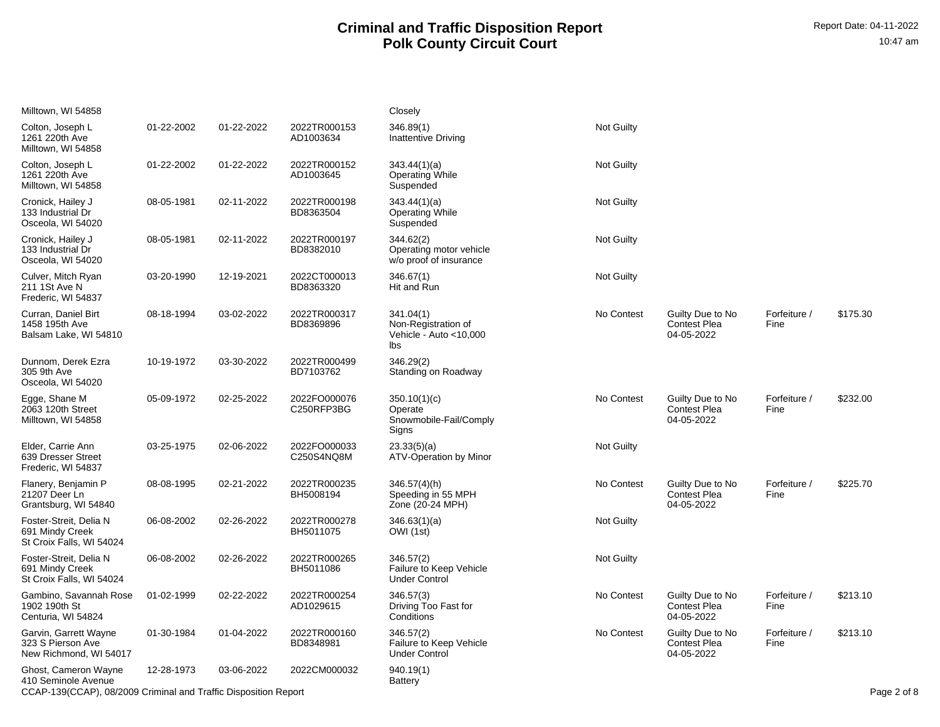| Milltown, WI 54858                                                                                             |            |            |                            | Closely                                                            |            |                                                       |                      |             |
|----------------------------------------------------------------------------------------------------------------|------------|------------|----------------------------|--------------------------------------------------------------------|------------|-------------------------------------------------------|----------------------|-------------|
| Colton, Joseph L<br>1261 220th Ave<br>Milltown, WI 54858                                                       | 01-22-2002 | 01-22-2022 | 2022TR000153<br>AD1003634  | 346.89(1)<br>Inattentive Driving                                   | Not Guilty |                                                       |                      |             |
| Colton, Joseph L<br>1261 220th Ave<br>Milltown, WI 54858                                                       | 01-22-2002 | 01-22-2022 | 2022TR000152<br>AD1003645  | 343.44(1)(a)<br><b>Operating While</b><br>Suspended                | Not Guilty |                                                       |                      |             |
| Cronick, Hailey J<br>133 Industrial Dr<br>Osceola, WI 54020                                                    | 08-05-1981 | 02-11-2022 | 2022TR000198<br>BD8363504  | 343.44(1)(a)<br><b>Operating While</b><br>Suspended                | Not Guilty |                                                       |                      |             |
| Cronick, Hailey J<br>133 Industrial Dr<br>Osceola, WI 54020                                                    | 08-05-1981 | 02-11-2022 | 2022TR000197<br>BD8382010  | 344.62(2)<br>Operating motor vehicle<br>w/o proof of insurance     | Not Guilty |                                                       |                      |             |
| Culver, Mitch Ryan<br>211 1St Ave N<br>Frederic, WI 54837                                                      | 03-20-1990 | 12-19-2021 | 2022CT000013<br>BD8363320  | 346.67(1)<br>Hit and Run                                           | Not Guilty |                                                       |                      |             |
| Curran, Daniel Birt<br>1458 195th Ave<br>Balsam Lake, WI 54810                                                 | 08-18-1994 | 03-02-2022 | 2022TR000317<br>BD8369896  | 341.04(1)<br>Non-Registration of<br>Vehicle - Auto < 10,000<br>lbs | No Contest | Guilty Due to No<br><b>Contest Plea</b><br>04-05-2022 | Forfeiture /<br>Fine | \$175.30    |
| Dunnom, Derek Ezra<br>305 9th Ave<br>Osceola, WI 54020                                                         | 10-19-1972 | 03-30-2022 | 2022TR000499<br>BD7103762  | 346.29(2)<br>Standing on Roadway                                   |            |                                                       |                      |             |
| Egge, Shane M<br>2063 120th Street<br>Milltown, WI 54858                                                       | 05-09-1972 | 02-25-2022 | 2022FO000076<br>C250RFP3BG | 350.10(1)(c)<br>Operate<br>Snowmobile-Fail/Comply<br>Signs         | No Contest | Guilty Due to No<br><b>Contest Plea</b><br>04-05-2022 | Forfeiture /<br>Fine | \$232.00    |
| Elder, Carrie Ann<br>639 Dresser Street<br>Frederic, WI 54837                                                  | 03-25-1975 | 02-06-2022 | 2022FO000033<br>C250S4NQ8M | 23.33(5)(a)<br>ATV-Operation by Minor                              | Not Guilty |                                                       |                      |             |
| Flanery, Benjamin P<br>21207 Deer Ln<br>Grantsburg, WI 54840                                                   | 08-08-1995 | 02-21-2022 | 2022TR000235<br>BH5008194  | 346.57(4)(h)<br>Speeding in 55 MPH<br>Zone (20-24 MPH)             | No Contest | Guilty Due to No<br><b>Contest Plea</b><br>04-05-2022 | Forfeiture /<br>Fine | \$225.70    |
| Foster-Streit, Delia N<br>691 Mindy Creek<br>St Croix Falls, WI 54024                                          | 06-08-2002 | 02-26-2022 | 2022TR000278<br>BH5011075  | 346.63(1)(a)<br>OWI (1st)                                          | Not Guilty |                                                       |                      |             |
| Foster-Streit, Delia N<br>691 Mindy Creek<br>St Croix Falls, WI 54024                                          | 06-08-2002 | 02-26-2022 | 2022TR000265<br>BH5011086  | 346.57(2)<br>Failure to Keep Vehicle<br><b>Under Control</b>       | Not Guilty |                                                       |                      |             |
| Gambino, Savannah Rose<br>1902 190th St<br>Centuria, WI 54824                                                  | 01-02-1999 | 02-22-2022 | 2022TR000254<br>AD1029615  | 346.57(3)<br>Driving Too Fast for<br>Conditions                    | No Contest | Guilty Due to No<br><b>Contest Plea</b><br>04-05-2022 | Forfeiture /<br>Fine | \$213.10    |
| Garvin, Garrett Wayne<br>323 S Pierson Ave<br>New Richmond, WI 54017                                           | 01-30-1984 | 01-04-2022 | 2022TR000160<br>BD8348981  | 346.57(2)<br>Failure to Keep Vehicle<br><b>Under Control</b>       | No Contest | Guilty Due to No<br><b>Contest Plea</b><br>04-05-2022 | Forfeiture /<br>Fine | \$213.10    |
| Ghost, Cameron Wayne<br>410 Seminole Avenue<br>CCAP-139(CCAP), 08/2009 Criminal and Traffic Disposition Report | 12-28-1973 | 03-06-2022 | 2022CM000032               | 940.19(1)<br><b>Battery</b>                                        |            |                                                       |                      | Page 2 of 8 |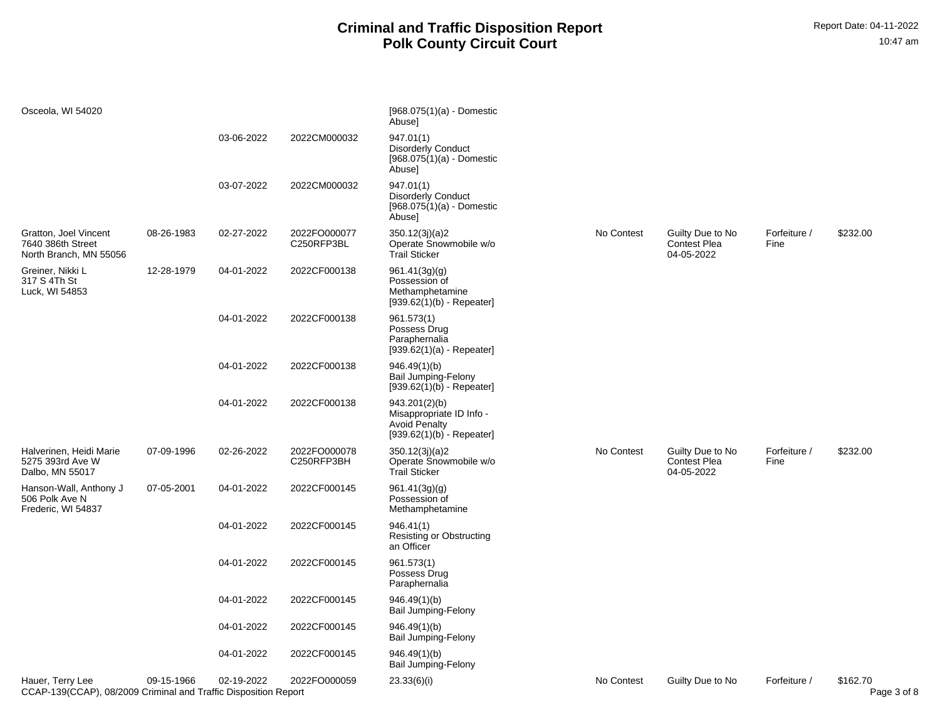| Osceola, WI 54020                                                                   |            |            |                            | [968.075(1)(a) - Domestic<br>Abuse]                                                              |            |                                                       |                      |                         |
|-------------------------------------------------------------------------------------|------------|------------|----------------------------|--------------------------------------------------------------------------------------------------|------------|-------------------------------------------------------|----------------------|-------------------------|
|                                                                                     |            | 03-06-2022 | 2022CM000032               | 947.01(1)<br><b>Disorderly Conduct</b><br>$[968.075(1)(a) -$ Domestic<br>Abuse]                  |            |                                                       |                      |                         |
|                                                                                     |            | 03-07-2022 | 2022CM000032               | 947.01(1)<br><b>Disorderly Conduct</b><br>$[968.075(1)(a) -$ Domestic<br>Abuse]                  |            |                                                       |                      |                         |
| Gratton, Joel Vincent<br>7640 386th Street<br>North Branch, MN 55056                | 08-26-1983 | 02-27-2022 | 2022FO000077<br>C250RFP3BL | 350.12(3j)(a)2<br>Operate Snowmobile w/o<br><b>Trail Sticker</b>                                 | No Contest | Guilty Due to No<br><b>Contest Plea</b><br>04-05-2022 | Forfeiture /<br>Fine | \$232.00                |
| Greiner, Nikki L<br>317 S 4Th St<br>Luck, WI 54853                                  | 12-28-1979 | 04-01-2022 | 2022CF000138               | 961.41(3g)(g)<br>Possession of<br>Methamphetamine<br>$[939.62(1)(b) - Repeated]$                 |            |                                                       |                      |                         |
|                                                                                     |            | 04-01-2022 | 2022CF000138               | 961.573(1)<br>Possess Drug<br>Paraphernalia<br>$[939.62(1)(a) - Repeated]$                       |            |                                                       |                      |                         |
|                                                                                     |            | 04-01-2022 | 2022CF000138               | 946.49(1)(b)<br>Bail Jumping-Felony<br>$[939.62(1)(b) - Repeated]$                               |            |                                                       |                      |                         |
|                                                                                     |            | 04-01-2022 | 2022CF000138               | 943.201(2)(b)<br>Misappropriate ID Info -<br><b>Avoid Penalty</b><br>$[939.62(1)(b) - Repeated]$ |            |                                                       |                      |                         |
| Halverinen, Heidi Marie<br>5275 393rd Ave W<br>Dalbo, MN 55017                      | 07-09-1996 | 02-26-2022 | 2022FO000078<br>C250RFP3BH | 350.12(3j)(a)2<br>Operate Snowmobile w/o<br><b>Trail Sticker</b>                                 | No Contest | Guilty Due to No<br><b>Contest Plea</b><br>04-05-2022 | Forfeiture /<br>Fine | \$232.00                |
| Hanson-Wall, Anthony J<br>506 Polk Ave N<br>Frederic, WI 54837                      | 07-05-2001 | 04-01-2022 | 2022CF000145               | 961.41(3g)(g)<br>Possession of<br>Methamphetamine                                                |            |                                                       |                      |                         |
|                                                                                     |            | 04-01-2022 | 2022CF000145               | 946.41(1)<br>Resisting or Obstructing<br>an Officer                                              |            |                                                       |                      |                         |
|                                                                                     |            | 04-01-2022 | 2022CF000145               | 961.573(1)<br>Possess Drug<br>Paraphernalia                                                      |            |                                                       |                      |                         |
|                                                                                     |            | 04-01-2022 | 2022CF000145               | 946.49(1)(b)<br>Bail Jumping-Felony                                                              |            |                                                       |                      |                         |
|                                                                                     |            | 04-01-2022 | 2022CF000145               | 946.49(1)(b)<br>Bail Jumping-Felony                                                              |            |                                                       |                      |                         |
|                                                                                     |            | 04-01-2022 | 2022CF000145               | 946.49(1)(b)<br><b>Bail Jumping-Felony</b>                                                       |            |                                                       |                      |                         |
| Hauer, Terry Lee<br>CCAP-139(CCAP), 08/2009 Criminal and Traffic Disposition Report | 09-15-1966 | 02-19-2022 | 2022FO000059               | 23.33(6)(i)                                                                                      | No Contest | Guilty Due to No                                      | Forfeiture /         | \$162.70<br>Page 3 of 8 |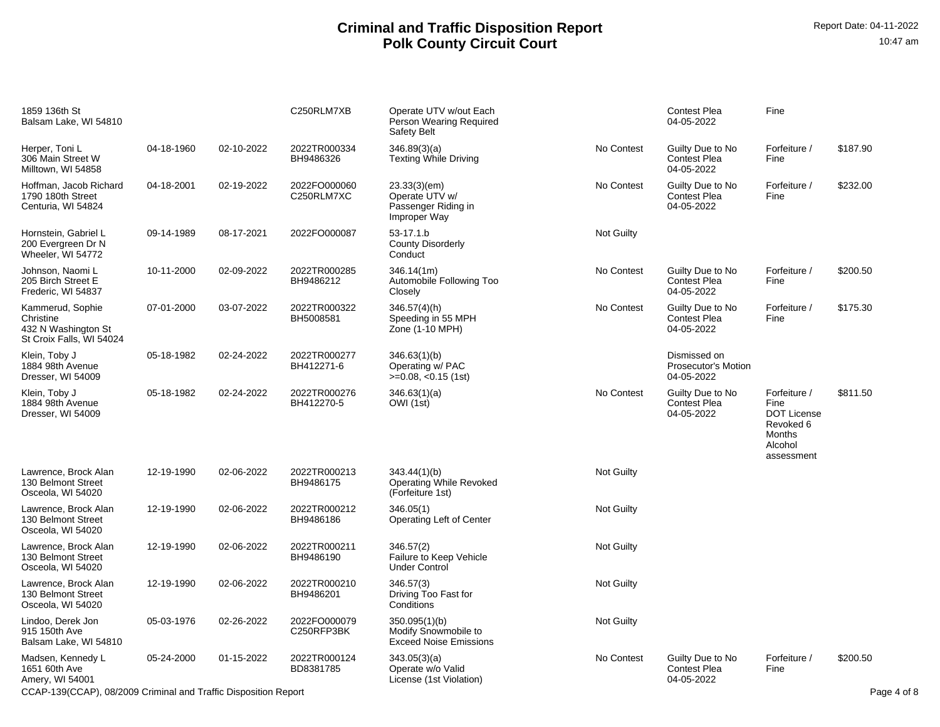| 1859 136th St<br>Balsam Lake, WI 54810                                           |            |            | C250RLM7XB                 | Operate UTV w/out Each<br>Person Wearing Required<br>Safety Belt       |            | <b>Contest Plea</b><br>04-05-2022                        | Fine                                                                                       |             |
|----------------------------------------------------------------------------------|------------|------------|----------------------------|------------------------------------------------------------------------|------------|----------------------------------------------------------|--------------------------------------------------------------------------------------------|-------------|
| Herper, Toni L.<br>306 Main Street W<br>Milltown, WI 54858                       | 04-18-1960 | 02-10-2022 | 2022TR000334<br>BH9486326  | 346.89(3)(a)<br><b>Texting While Driving</b>                           | No Contest | Guilty Due to No<br><b>Contest Plea</b><br>04-05-2022    | Forfeiture /<br>Fine                                                                       | \$187.90    |
| Hoffman, Jacob Richard<br>1790 180th Street<br>Centuria, WI 54824                | 04-18-2001 | 02-19-2022 | 2022FO000060<br>C250RLM7XC | 23.33(3)(em)<br>Operate UTV w/<br>Passenger Riding in<br>Improper Way  | No Contest | Guilty Due to No<br><b>Contest Plea</b><br>04-05-2022    | Forfeiture /<br>Fine                                                                       | \$232.00    |
| Hornstein, Gabriel L<br>200 Evergreen Dr N<br>Wheeler, WI 54772                  | 09-14-1989 | 08-17-2021 | 2022FO000087               | 53-17.1.b<br><b>County Disorderly</b><br>Conduct                       | Not Guilty |                                                          |                                                                                            |             |
| Johnson, Naomi L<br>205 Birch Street E<br>Frederic, WI 54837                     | 10-11-2000 | 02-09-2022 | 2022TR000285<br>BH9486212  | 346.14(1m)<br>Automobile Following Too<br>Closely                      | No Contest | Guilty Due to No<br><b>Contest Plea</b><br>04-05-2022    | Forfeiture /<br>Fine                                                                       | \$200.50    |
| Kammerud, Sophie<br>Christine<br>432 N Washington St<br>St Croix Falls, WI 54024 | 07-01-2000 | 03-07-2022 | 2022TR000322<br>BH5008581  | 346.57(4)(h)<br>Speeding in 55 MPH<br>Zone (1-10 MPH)                  | No Contest | Guilty Due to No<br><b>Contest Plea</b><br>04-05-2022    | Forfeiture /<br>Fine                                                                       | \$175.30    |
| Klein, Toby J<br>1884 98th Avenue<br>Dresser, WI 54009                           | 05-18-1982 | 02-24-2022 | 2022TR000277<br>BH412271-6 | 346.63(1)(b)<br>Operating w/ PAC<br>$>=0.08, <0.15$ (1st)              |            | Dismissed on<br><b>Prosecutor's Motion</b><br>04-05-2022 |                                                                                            |             |
| Klein, Toby J<br>1884 98th Avenue<br>Dresser, WI 54009                           | 05-18-1982 | 02-24-2022 | 2022TR000276<br>BH412270-5 | 346.63(1)(a)<br>OWI (1st)                                              | No Contest | Guilty Due to No<br><b>Contest Plea</b><br>04-05-2022    | Forfeiture /<br>Fine<br><b>DOT License</b><br>Revoked 6<br>Months<br>Alcohol<br>assessment | \$811.50    |
| Lawrence, Brock Alan<br>130 Belmont Street<br>Osceola, WI 54020                  | 12-19-1990 | 02-06-2022 | 2022TR000213<br>BH9486175  | 343.44(1)(b)<br><b>Operating While Revoked</b><br>(Forfeiture 1st)     | Not Guilty |                                                          |                                                                                            |             |
| Lawrence, Brock Alan<br>130 Belmont Street<br>Osceola, WI 54020                  | 12-19-1990 | 02-06-2022 | 2022TR000212<br>BH9486186  | 346.05(1)<br><b>Operating Left of Center</b>                           | Not Guilty |                                                          |                                                                                            |             |
| Lawrence, Brock Alan<br>130 Belmont Street<br>Osceola, WI 54020                  | 12-19-1990 | 02-06-2022 | 2022TR000211<br>BH9486190  | 346.57(2)<br>Failure to Keep Vehicle<br><b>Under Control</b>           | Not Guilty |                                                          |                                                                                            |             |
| Lawrence, Brock Alan<br>130 Belmont Street<br>Osceola, WI 54020                  | 12-19-1990 | 02-06-2022 | 2022TR000210<br>BH9486201  | 346.57(3)<br>Driving Too Fast for<br>Conditions                        | Not Guilty |                                                          |                                                                                            |             |
| Lindoo, Derek Jon<br>915 150th Ave<br>Balsam Lake, WI 54810                      | 05-03-1976 | 02-26-2022 | 2022FO000079<br>C250RFP3BK | 350.095(1)(b)<br>Modify Snowmobile to<br><b>Exceed Noise Emissions</b> | Not Guilty |                                                          |                                                                                            |             |
| Madsen, Kennedy L<br>1651 60th Ave<br>Amery, WI 54001                            | 05-24-2000 | 01-15-2022 | 2022TR000124<br>BD8381785  | 343.05(3)(a)<br>Operate w/o Valid<br>License (1st Violation)           | No Contest | Guilty Due to No<br><b>Contest Plea</b><br>04-05-2022    | Forfeiture /<br>Fine                                                                       | \$200.50    |
| CCAP-139(CCAP), 08/2009 Criminal and Traffic Disposition Report                  |            |            |                            |                                                                        |            |                                                          |                                                                                            | Page 4 of 8 |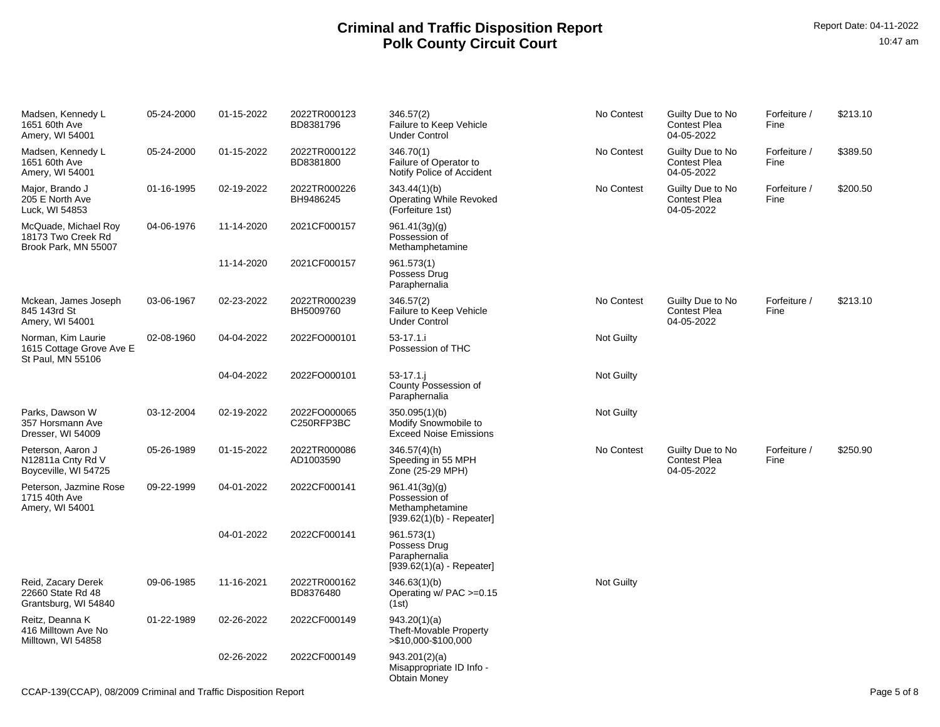| Madsen, Kennedy L<br>1651 60th Ave<br>Amery, WI 54001               | 05-24-2000 | 01-15-2022 | 2022TR000123<br>BD8381796  | 346.57(2)<br>Failure to Keep Vehicle<br><b>Under Control</b>                     | No Contest        | Guilty Due to No<br><b>Contest Plea</b><br>04-05-2022 | Forfeiture /<br>Fine | \$213.10 |
|---------------------------------------------------------------------|------------|------------|----------------------------|----------------------------------------------------------------------------------|-------------------|-------------------------------------------------------|----------------------|----------|
| Madsen, Kennedy L<br>1651 60th Ave<br>Amery, WI 54001               | 05-24-2000 | 01-15-2022 | 2022TR000122<br>BD8381800  | 346.70(1)<br>Failure of Operator to<br>Notify Police of Accident                 | No Contest        | Guilty Due to No<br><b>Contest Plea</b><br>04-05-2022 | Forfeiture /<br>Fine | \$389.50 |
| Major, Brando J<br>205 E North Ave<br>Luck, WI 54853                | 01-16-1995 | 02-19-2022 | 2022TR000226<br>BH9486245  | 343.44(1)(b)<br><b>Operating While Revoked</b><br>(Forfeiture 1st)               | No Contest        | Guilty Due to No<br><b>Contest Plea</b><br>04-05-2022 | Forfeiture /<br>Fine | \$200.50 |
| McQuade, Michael Roy<br>18173 Two Creek Rd<br>Brook Park, MN 55007  | 04-06-1976 | 11-14-2020 | 2021CF000157               | 961.41(3g)(g)<br>Possession of<br>Methamphetamine                                |                   |                                                       |                      |          |
|                                                                     |            | 11-14-2020 | 2021CF000157               | 961.573(1)<br>Possess Drug<br>Paraphernalia                                      |                   |                                                       |                      |          |
| Mckean, James Joseph<br>845 143rd St<br>Amery, WI 54001             | 03-06-1967 | 02-23-2022 | 2022TR000239<br>BH5009760  | 346.57(2)<br>Failure to Keep Vehicle<br><b>Under Control</b>                     | No Contest        | Guilty Due to No<br><b>Contest Plea</b><br>04-05-2022 | Forfeiture /<br>Fine | \$213.10 |
| Norman, Kim Laurie<br>1615 Cottage Grove Ave E<br>St Paul, MN 55106 | 02-08-1960 | 04-04-2022 | 2022FO000101               | 53-17.1.i<br>Possession of THC                                                   | <b>Not Guilty</b> |                                                       |                      |          |
|                                                                     |            | 04-04-2022 | 2022FO000101               | $53 - 17.1$ .<br>County Possession of<br>Paraphernalia                           | <b>Not Guilty</b> |                                                       |                      |          |
| Parks. Dawson W<br>357 Horsmann Ave<br>Dresser, WI 54009            | 03-12-2004 | 02-19-2022 | 2022FO000065<br>C250RFP3BC | 350.095(1)(b)<br>Modify Snowmobile to<br><b>Exceed Noise Emissions</b>           | Not Guilty        |                                                       |                      |          |
| Peterson, Aaron J<br>N12811a Cnty Rd V<br>Boyceville, WI 54725      | 05-26-1989 | 01-15-2022 | 2022TR000086<br>AD1003590  | 346.57(4)(h)<br>Speeding in 55 MPH<br>Zone (25-29 MPH)                           | No Contest        | Guilty Due to No<br><b>Contest Plea</b><br>04-05-2022 | Forfeiture /<br>Fine | \$250.90 |
| Peterson, Jazmine Rose<br>1715 40th Ave<br>Amery, WI 54001          | 09-22-1999 | 04-01-2022 | 2022CF000141               | 961.41(3g)(g)<br>Possession of<br>Methamphetamine<br>$[939.62(1)(b) - Repeated]$ |                   |                                                       |                      |          |
|                                                                     |            | 04-01-2022 | 2022CF000141               | 961.573(1)<br>Possess Drug<br>Paraphernalia<br>$[939.62(1)(a) - Repeated]$       |                   |                                                       |                      |          |
| Reid, Zacary Derek<br>22660 State Rd 48<br>Grantsburg, WI 54840     | 09-06-1985 | 11-16-2021 | 2022TR000162<br>BD8376480  | 346.63(1)(b)<br>Operating w/ $PAC >=0.15$<br>(1st)                               | <b>Not Guilty</b> |                                                       |                      |          |
| Reitz, Deanna K<br>416 Milltown Ave No<br>Milltown, WI 54858        | 01-22-1989 | 02-26-2022 | 2022CF000149               | 943.20(1)(a)<br>Theft-Movable Property<br>>\$10,000-\$100,000                    |                   |                                                       |                      |          |
|                                                                     |            | 02-26-2022 | 2022CF000149               | 943.201(2)(a)<br>Misappropriate ID Info -<br><b>Obtain Money</b>                 |                   |                                                       |                      |          |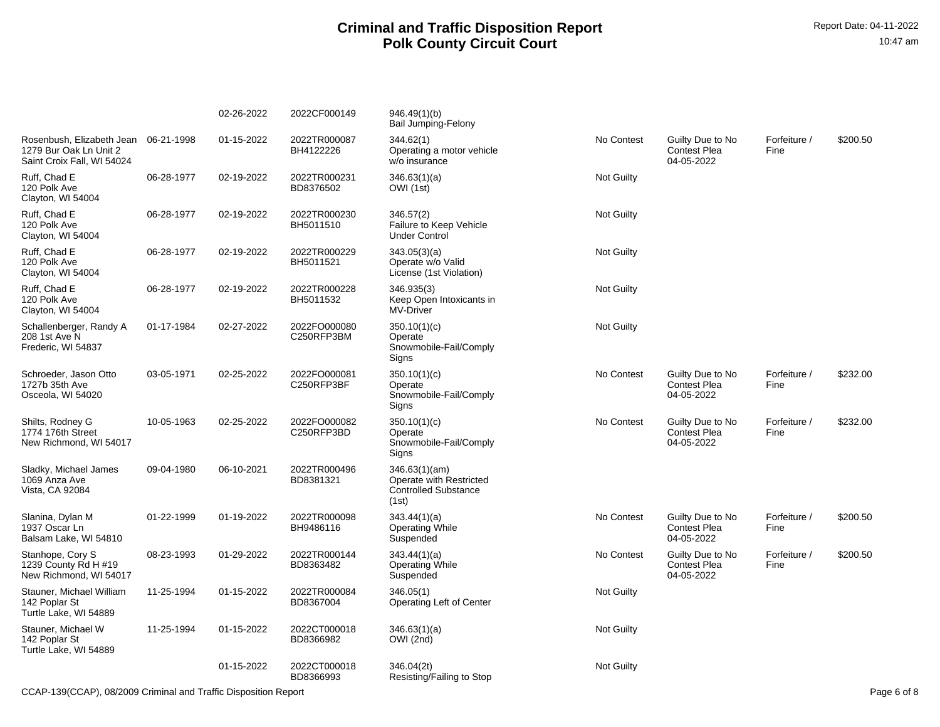|                                                                                              |            | 02-26-2022 | 2022CF000149               | 946.49(1)(b)<br><b>Bail Jumping-Felony</b>                                       |                   |                                                       |                      |          |
|----------------------------------------------------------------------------------------------|------------|------------|----------------------------|----------------------------------------------------------------------------------|-------------------|-------------------------------------------------------|----------------------|----------|
| Rosenbush, Elizabeth Jean 06-21-1998<br>1279 Bur Oak Ln Unit 2<br>Saint Croix Fall, WI 54024 |            | 01-15-2022 | 2022TR000087<br>BH4122226  | 344.62(1)<br>Operating a motor vehicle<br>w/o insurance                          | No Contest        | Guilty Due to No<br>Contest Plea<br>04-05-2022        | Forfeiture /<br>Fine | \$200.50 |
| Ruff. Chad E<br>120 Polk Ave<br>Clayton, WI 54004                                            | 06-28-1977 | 02-19-2022 | 2022TR000231<br>BD8376502  | 346.63(1)(a)<br>OWI (1st)                                                        | <b>Not Guilty</b> |                                                       |                      |          |
| Ruff, Chad E<br>120 Polk Ave<br>Clayton, WI 54004                                            | 06-28-1977 | 02-19-2022 | 2022TR000230<br>BH5011510  | 346.57(2)<br>Failure to Keep Vehicle<br><b>Under Control</b>                     | <b>Not Guilty</b> |                                                       |                      |          |
| Ruff, Chad E<br>120 Polk Ave<br>Clayton, WI 54004                                            | 06-28-1977 | 02-19-2022 | 2022TR000229<br>BH5011521  | 343.05(3)(a)<br>Operate w/o Valid<br>License (1st Violation)                     | Not Guilty        |                                                       |                      |          |
| Ruff. Chad E<br>120 Polk Ave<br>Clayton, WI 54004                                            | 06-28-1977 | 02-19-2022 | 2022TR000228<br>BH5011532  | 346.935(3)<br>Keep Open Intoxicants in<br>MV-Driver                              | <b>Not Guilty</b> |                                                       |                      |          |
| Schallenberger, Randy A<br>208 1st Ave N<br>Frederic, WI 54837                               | 01-17-1984 | 02-27-2022 | 2022FO000080<br>C250RFP3BM | 350.10(1)(c)<br>Operate<br>Snowmobile-Fail/Comply<br>Signs                       | Not Guilty        |                                                       |                      |          |
| Schroeder, Jason Otto<br>1727b 35th Ave<br>Osceola, WI 54020                                 | 03-05-1971 | 02-25-2022 | 2022FO000081<br>C250RFP3BF | 350.10(1)(c)<br>Operate<br>Snowmobile-Fail/Comply<br>Signs                       | No Contest        | Guilty Due to No<br>Contest Plea<br>04-05-2022        | Forfeiture /<br>Fine | \$232.00 |
| Shilts, Rodney G<br>1774 176th Street<br>New Richmond, WI 54017                              | 10-05-1963 | 02-25-2022 | 2022FO000082<br>C250RFP3BD | 350.10(1)(c)<br>Operate<br>Snowmobile-Fail/Comply<br>Signs                       | No Contest        | Guilty Due to No<br><b>Contest Plea</b><br>04-05-2022 | Forfeiture /<br>Fine | \$232.00 |
| Sladky, Michael James<br>1069 Anza Ave<br>Vista, CA 92084                                    | 09-04-1980 | 06-10-2021 | 2022TR000496<br>BD8381321  | 346.63(1)(am)<br>Operate with Restricted<br><b>Controlled Substance</b><br>(1st) |                   |                                                       |                      |          |
| Slanina, Dylan M<br>1937 Oscar Ln<br>Balsam Lake, WI 54810                                   | 01-22-1999 | 01-19-2022 | 2022TR000098<br>BH9486116  | 343.44(1)(a)<br><b>Operating While</b><br>Suspended                              | No Contest        | Guilty Due to No<br><b>Contest Plea</b><br>04-05-2022 | Forfeiture /<br>Fine | \$200.50 |
| Stanhope, Cory S<br>1239 County Rd H #19<br>New Richmond, WI 54017                           | 08-23-1993 | 01-29-2022 | 2022TR000144<br>BD8363482  | 343.44(1)(a)<br><b>Operating While</b><br>Suspended                              | No Contest        | Guilty Due to No<br><b>Contest Plea</b><br>04-05-2022 | Forfeiture /<br>Fine | \$200.50 |
| Stauner, Michael William<br>142 Poplar St<br>Turtle Lake, WI 54889                           | 11-25-1994 | 01-15-2022 | 2022TR000084<br>BD8367004  | 346.05(1)<br><b>Operating Left of Center</b>                                     | <b>Not Guilty</b> |                                                       |                      |          |
| Stauner, Michael W<br>142 Poplar St<br>Turtle Lake, WI 54889                                 | 11-25-1994 | 01-15-2022 | 2022CT000018<br>BD8366982  | 346.63(1)(a)<br>OWI (2nd)                                                        | <b>Not Guilty</b> |                                                       |                      |          |
|                                                                                              |            | 01-15-2022 | 2022CT000018<br>BD8366993  | 346.04(2t)<br>Resisting/Failing to Stop                                          | <b>Not Guilty</b> |                                                       |                      |          |

CCAP-139(CCAP), 08/2009 Criminal and Traffic Disposition Report Page 6 of 8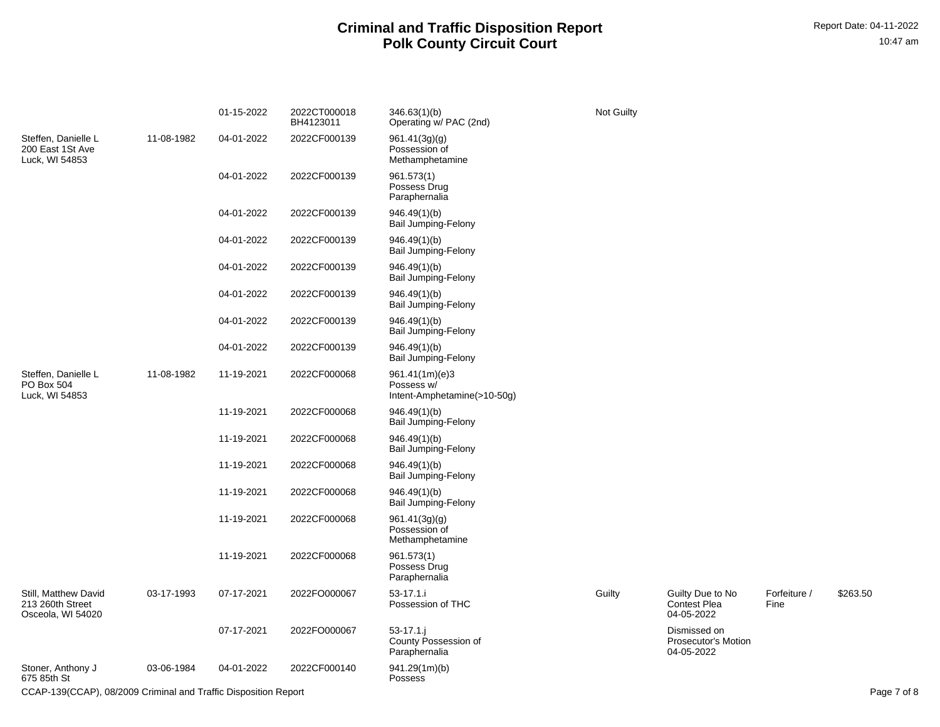|                                                                 |            | 01-15-2022 | 2022CT000018<br>BH4123011 | 346.63(1)(b)<br>Operating w/ PAC (2nd)                      | Not Guilty |                                                       |                      |             |
|-----------------------------------------------------------------|------------|------------|---------------------------|-------------------------------------------------------------|------------|-------------------------------------------------------|----------------------|-------------|
| Steffen, Danielle L<br>200 East 1St Ave<br>Luck, WI 54853       | 11-08-1982 | 04-01-2022 | 2022CF000139              | 961.41(3g)(g)<br>Possession of<br>Methamphetamine           |            |                                                       |                      |             |
|                                                                 |            | 04-01-2022 | 2022CF000139              | 961.573(1)<br>Possess Drug<br>Paraphernalia                 |            |                                                       |                      |             |
|                                                                 |            | 04-01-2022 | 2022CF000139              | 946.49(1)(b)<br><b>Bail Jumping-Felony</b>                  |            |                                                       |                      |             |
|                                                                 |            | 04-01-2022 | 2022CF000139              | 946.49(1)(b)<br><b>Bail Jumping-Felony</b>                  |            |                                                       |                      |             |
|                                                                 |            | 04-01-2022 | 2022CF000139              | 946.49(1)(b)<br><b>Bail Jumping-Felony</b>                  |            |                                                       |                      |             |
|                                                                 |            | 04-01-2022 | 2022CF000139              | 946.49(1)(b)<br><b>Bail Jumping-Felony</b>                  |            |                                                       |                      |             |
|                                                                 |            | 04-01-2022 | 2022CF000139              | 946.49(1)(b)<br><b>Bail Jumping-Felony</b>                  |            |                                                       |                      |             |
|                                                                 |            | 04-01-2022 | 2022CF000139              | 946.49(1)(b)<br><b>Bail Jumping-Felony</b>                  |            |                                                       |                      |             |
| Steffen, Danielle L<br>PO Box 504<br>Luck, WI 54853             | 11-08-1982 | 11-19-2021 | 2022CF000068              | 961.41(1m)(e)3<br>Possess w/<br>Intent-Amphetamine(>10-50g) |            |                                                       |                      |             |
|                                                                 |            | 11-19-2021 | 2022CF000068              | 946.49(1)(b)<br><b>Bail Jumping-Felony</b>                  |            |                                                       |                      |             |
|                                                                 |            | 11-19-2021 | 2022CF000068              | 946.49(1)(b)<br><b>Bail Jumping-Felony</b>                  |            |                                                       |                      |             |
|                                                                 |            | 11-19-2021 | 2022CF000068              | 946.49(1)(b)<br><b>Bail Jumping-Felony</b>                  |            |                                                       |                      |             |
|                                                                 |            | 11-19-2021 | 2022CF000068              | 946.49(1)(b)<br><b>Bail Jumping-Felony</b>                  |            |                                                       |                      |             |
|                                                                 |            | 11-19-2021 | 2022CF000068              | 961.41(3g)(g)<br>Possession of<br>Methamphetamine           |            |                                                       |                      |             |
|                                                                 |            | 11-19-2021 | 2022CF000068              | 961.573(1)<br>Possess Drug<br>Paraphernalia                 |            |                                                       |                      |             |
| Still, Matthew David<br>213 260th Street<br>Osceola, WI 54020   | 03-17-1993 | 07-17-2021 | 2022FO000067              | 53-17.1.i<br>Possession of THC                              | Guilty     | Guilty Due to No<br><b>Contest Plea</b><br>04-05-2022 | Forfeiture /<br>Fine | \$263.50    |
|                                                                 |            | 07-17-2021 | 2022FO000067              | 53-17.1.i<br>County Possession of<br>Paraphernalia          |            | Dismissed on<br>Prosecutor's Motion<br>04-05-2022     |                      |             |
| Stoner, Anthony J<br>675 85th St                                | 03-06-1984 | 04-01-2022 | 2022CF000140              | 941.29(1m)(b)<br>Possess                                    |            |                                                       |                      |             |
| CCAP-139(CCAP), 08/2009 Criminal and Traffic Disposition Report |            |            |                           |                                                             |            |                                                       |                      | Page 7 of 8 |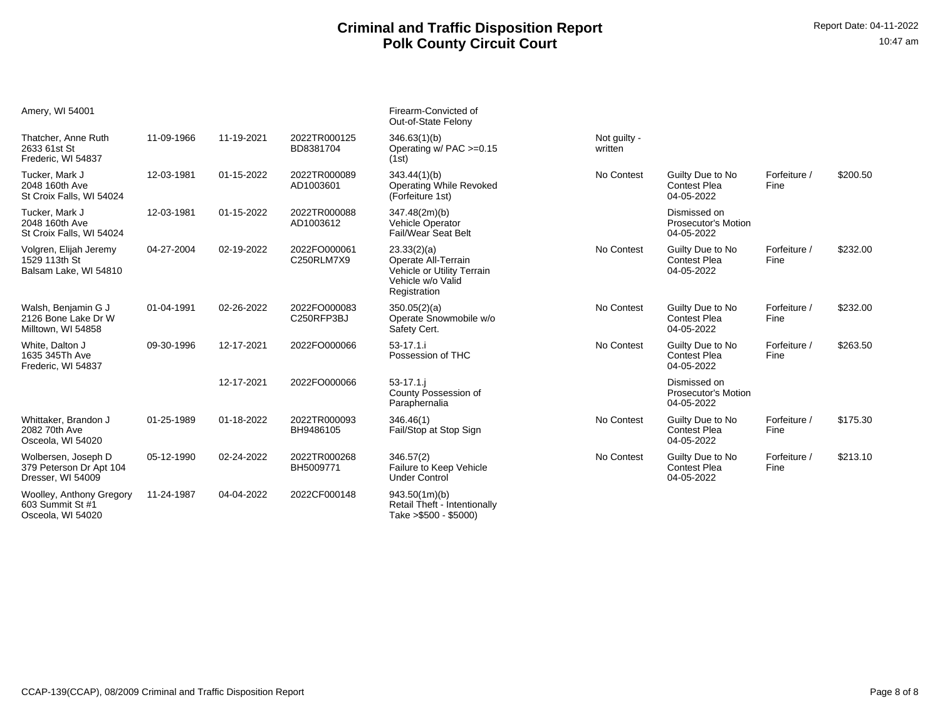| Amery, WI 54001                                                     |            |            |                            | Firearm-Convicted of<br>Out-of-State Felony                                                           |                         |                                                          |                      |          |
|---------------------------------------------------------------------|------------|------------|----------------------------|-------------------------------------------------------------------------------------------------------|-------------------------|----------------------------------------------------------|----------------------|----------|
| Thatcher, Anne Ruth<br>2633 61st St<br>Frederic, WI 54837           | 11-09-1966 | 11-19-2021 | 2022TR000125<br>BD8381704  | 346.63(1)(b)<br>Operating w/ PAC >=0.15<br>(1st)                                                      | Not guilty -<br>written |                                                          |                      |          |
| Tucker, Mark J<br>2048 160th Ave<br>St Croix Falls, WI 54024        | 12-03-1981 | 01-15-2022 | 2022TR000089<br>AD1003601  | 343.44(1)(b)<br><b>Operating While Revoked</b><br>(Forfeiture 1st)                                    | No Contest              | Guilty Due to No<br><b>Contest Plea</b><br>04-05-2022    | Forfeiture /<br>Fine | \$200.50 |
| Tucker, Mark J<br>2048 160th Ave<br>St Croix Falls, WI 54024        | 12-03-1981 | 01-15-2022 | 2022TR000088<br>AD1003612  | 347.48(2m)(b)<br><b>Vehicle Operator</b><br><b>Fail/Wear Seat Belt</b>                                |                         | Dismissed on<br><b>Prosecutor's Motion</b><br>04-05-2022 |                      |          |
| Volgren, Elijah Jeremy<br>1529 113th St<br>Balsam Lake, WI 54810    | 04-27-2004 | 02-19-2022 | 2022FO000061<br>C250RLM7X9 | 23.33(2)(a)<br>Operate All-Terrain<br>Vehicle or Utility Terrain<br>Vehicle w/o Valid<br>Registration | No Contest              | Guilty Due to No<br><b>Contest Plea</b><br>04-05-2022    | Forfeiture /<br>Fine | \$232.00 |
| Walsh, Benjamin G J<br>2126 Bone Lake Dr W<br>Milltown, WI 54858    | 01-04-1991 | 02-26-2022 | 2022FO000083<br>C250RFP3BJ | 350.05(2)(a)<br>Operate Snowmobile w/o<br>Safety Cert.                                                | No Contest              | Guilty Due to No<br><b>Contest Plea</b><br>04-05-2022    | Forfeiture /<br>Fine | \$232.00 |
| White, Dalton J<br>1635 345Th Ave<br>Frederic, WI 54837             | 09-30-1996 | 12-17-2021 | 2022FO000066               | $53 - 17.1$ .<br>Possession of THC                                                                    | No Contest              | Guilty Due to No<br><b>Contest Plea</b><br>04-05-2022    | Forfeiture /<br>Fine | \$263.50 |
|                                                                     |            | 12-17-2021 | 2022FO000066               | $53 - 17.1$ .<br>County Possession of<br>Paraphernalia                                                |                         | Dismissed on<br>Prosecutor's Motion<br>04-05-2022        |                      |          |
| Whittaker, Brandon J<br>2082 70th Ave<br>Osceola, WI 54020          | 01-25-1989 | 01-18-2022 | 2022TR000093<br>BH9486105  | 346.46(1)<br>Fail/Stop at Stop Sign                                                                   | No Contest              | Guilty Due to No<br><b>Contest Plea</b><br>04-05-2022    | Forfeiture /<br>Fine | \$175.30 |
| Wolbersen, Joseph D<br>379 Peterson Dr Apt 104<br>Dresser, WI 54009 | 05-12-1990 | 02-24-2022 | 2022TR000268<br>BH5009771  | 346.57(2)<br>Failure to Keep Vehicle<br><b>Under Control</b>                                          | No Contest              | Guilty Due to No<br><b>Contest Plea</b><br>04-05-2022    | Forfeiture /<br>Fine | \$213.10 |
| Woolley, Anthony Gregory<br>603 Summit St #1<br>Osceola, WI 54020   | 11-24-1987 | 04-04-2022 | 2022CF000148               | 943.50(1m)(b)<br>Retail Theft - Intentionally<br>Take > \$500 - \$5000)                               |                         |                                                          |                      |          |